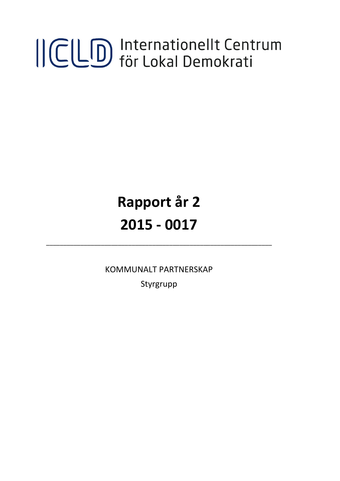# ICLD Internationellt Centrum

# **Rapport år 2 2015 - 0017**

KOMMUNALT PARTNERSKAP

\_\_\_\_\_\_\_\_\_\_\_\_\_\_\_\_\_\_\_\_\_\_\_\_\_\_\_\_\_\_\_\_\_\_\_\_\_\_\_\_\_\_\_\_\_\_\_\_\_\_\_\_\_\_\_\_\_\_\_\_\_\_\_\_\_\_

Styrgrupp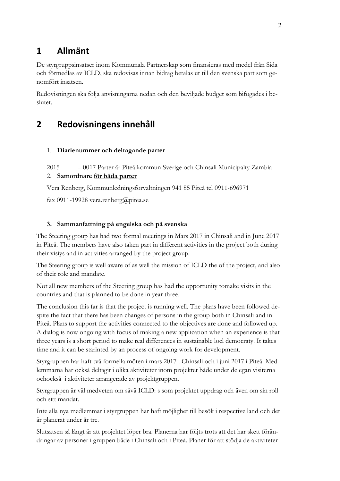## **1 Allmänt**

De styrgruppsinsatser inom Kommunala Partnerskap som finansieras med medel från Sida och förmedlas av ICLD, ska redovisas innan bidrag betalas ut till den svenska part som genomfört insatsen.

Redovisningen ska följa anvisningarna nedan och den beviljade budget som bifogades i beslutet.

### **2 Redovisningens innehåll**

#### 1. **Diarienummer och deltagande parter**

2015 – 0017 Parter är Piteå kommun Sverige och Chinsali Municipalty Zambia

#### 2. **Samordnare för båda parter**

Vera Renberg, Kommunledningsförvaltningen 941 85 Piteå tel 0911-696971

fax 0911-19928 vera.renberg@pitea.se

#### **3. Sammanfattning på engelska och på svenska**

The Steering group has had two formal meetings in Mars 2017 in Chinsali and in June 2017 in Piteå. The members have also taken part in different activities in the project both during their visiys and in activities arranged by the project group.

The Steering group is well aware of as well the mission of ICLD the of the project, and also of their role and mandate.

Not all new members of the Steering group has had the opportunity tomake visits in the countries and that is planned to be done in year three.

The conclusion this far is that the project is running well. The plans have been followed despite the fact that there has been changes of persons in the group both in Chinsali and in Piteå. Plans to support the activities connected to the objectives are done and followed up. A dialog is now ongoing with focus of making a new application when an experience is that three years is a short period to make real differences in sustainable locl democraty. It takes time and it can be starinted by an process of ongoing work for development.

Styrgruppen har haft två formella möten i mars 2017 i Chinsali och i juni 2017 i Piteå. Medlemmarna har också deltagit i olika aktiviteter inom projektet både under de egan visiterna ochockså i aktiviteter arrangerade av projektgruppen.

Styrgruppen är väl medveten om såvä ICLD: s som projektet uppdrag och även om sin roll och sitt mandat.

Inte alla nya medlemmar i styrgruppen har haft möjlighet till besök i respective land och det är planerat under år tre.

Slutsatsen så långt är att projektet löper bra. Planerna har följts trots att det har skett förändringar av personer i gruppen både i Chinsali och i Piteå. Planer för att stödja de aktiviteter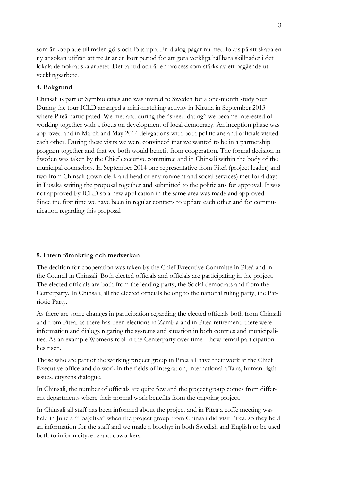som är kopplade till målen görs och följs upp. En dialog pågår nu med fokus på att skapa en ny ansökan utifrån att tre år är en kort period för att göra verkliga hållbara skillnader i det lokala demokratiska arbetet. Det tar tid och är en process som stärks av ett pågående utvecklingsarbete.

#### **4. Bakgrund**

Chinsali is part of Symbio cities and was invited to Sweden for a one-month study tour. During the tour ICLD arranged a mini-matching activity in Kiruna in September 2013 where Piteå participated. We met and during the "speed-dating" we became interested of working together with a focus on development of local democracy. An inception phase was approved and in March and May 2014 delegations with both politicians and officials visited each other. During these visits we were convinced that we wanted to be in a partnership program together and that we both would benefit from cooperation. The formal decision in Sweden was taken by the Chief executive committee and in Chinsali within the body of the municipal counselors. In September 2014 one representative from Piteå (project leader) and two from Chinsali (town clerk and head of environment and social services) met for 4 days in Lusaka writing the proposal together and submitted to the politicians for approval. It was not approved by ICLD so a new application in the same area was made and approved. Since the first time we have been in regular contacts to update each other and for communication regarding this proposal

#### **5. Intern förankring och medverkan**

The decition for cooperation was taken by the Chief Executive Committe in Piteå and in the Council in Chinsali. Both elected officials and officials are participating in the project. The elected officials are both from the leading party, the Social democrats and from the Centerparty. In Chinsali, all the elected officials belong to the national ruling party, the Patriotic Party.

As there are some changes in participation regarding the elected officials both from Chinsali and from Piteå, as there has been elections in Zambia and in Piteå retirement, there were information and dialogs regaring the systems and situation in both contries and municipalities. As an example Womens rool in the Centerparty over time – how femail participation hes risen.

Those who are part of the working project group in Piteå all have their work at the Chief Executive office and do work in the fields of integration, international affairs, human rigth issues, cityzens dialogue.

In Chinsali, the number of officials are quite few and the project group comes from different departments where their normal work benefits from the ongoing project.

In Chinsali all staff has been informed about the project and in Piteå a coffe meeting was held in June a "Foajefika" when the project group from Chinsali did visit Piteå, so they held an information for the staff and we made a brochyr in both Swedish and English to be used both to inform citycenz and coworkers.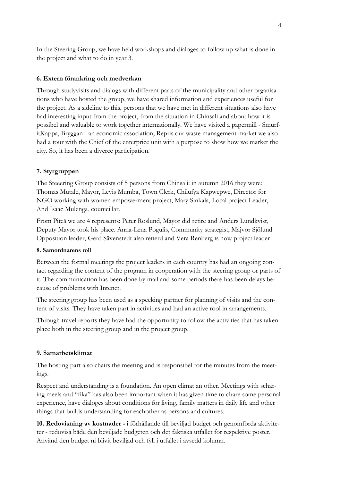In the Steering Group, we have held workshops and dialoges to follow up what is done in the project and what to do in year 3.

#### **6. Extern förankring och medverkan**

Through studyvisits and dialogs with different parts of the municipality and other organisations who have hosted the group, we have shared information and experiences useful for the project. As a sideline to this, persons that we have met in different situations also have had interesting input from the project, from the situation in Chinsali and about how it is possibel and waluable to work together internationally. We have visited a papermill - SmurfitKappa, Bryggan - an economic association, Repris our waste management market we also had a tour with the Chief of the enterprice unit with a purpose to show how we market the city. So, it has been a diverce participation.

#### **7. Styrgruppen**

The Steeering Group consists of 5 persons from Chinsali: in autumn 2016 they were: Thomas Mutale, Mayor, Levis Mumba, Town Clerk, Chilufya Kapwepwe, Director for NGO working with women empowerment project, Mary Sinkala, Local project Leader, And Isaac Mulenga, counicillar.

From Piteå we are 4 represents: Peter Roslund, Mayor did retire and Anders Lundkvist, Deputy Mayor took his place. Anna-Lena Pogulis, Community strategist, Majvor Sjölund Opposition leader, Gerd Sävenstedt also retierd and Vera Renberg is now project leader

#### **8. Samordnarens roll**

Between the formal meetings the project leaders in each country has had an ongoing contact regarding the content of the program in cooperation with the steering group or parts of it. The communication has been done by mail and some periods there has been delays because of problems with Intenet.

The steering group has been used as a speeking partner for planning of visits and the content of visits. They have taken part in activities and had an active rool in arrangements.

Through travel reports they have had the opportunity to follow the activities that has taken place both in the steering group and in the project group.

#### **9. Samarbetsklimat**

The hosting part also chairs the meeting and is responsibel for the minutes from the meetings.

Respect and understanding is a foundation. An open climat an other. Meetings with scharing meels and "fika" has also been important when it has given time to chare some personal experience, have dialoges about conditions for living, family matters in daily life and other things that builds understanding for eachother as persons and cultures.

**10. Redovisning av kostnader -** i förhållande till beviljad budget och genomförda aktiviteter - redovisa både den beviljade budgeten och det faktiska utfallet för respektive poster. Använd den budget ni blivit beviljad och fyll i utfallet i avsedd kolumn.